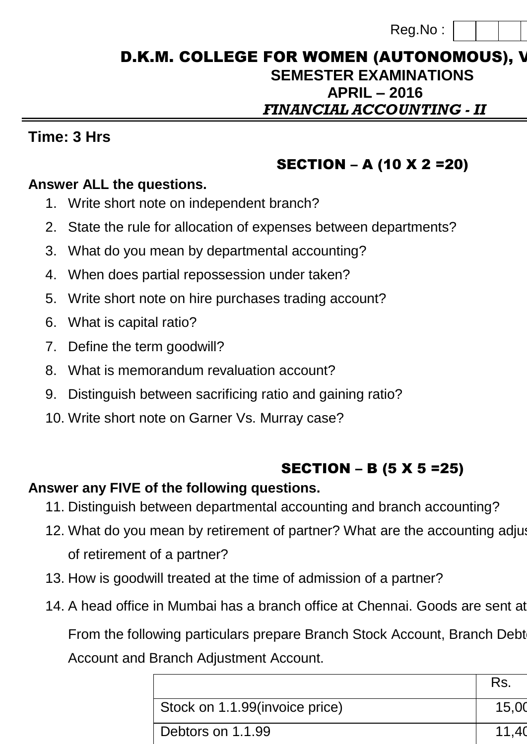| Reg.No: |  |  |
|---------|--|--|
|         |  |  |

### D.K.M. COLLEGE FOR WOMEN (AUTONOMOUS), V **SEMESTER EXAMINATIONS APRIL – 2016** *FINANCIAL ACCOUNTING - II*

## **Time: 3 Hrs Max. Marks: 75**

# SECTION – A (10 X 2 =20)

### **Answer ALL the questions.**

- 1. Write short note on independent branch?
- 2. State the rule for allocation of expenses between departments?
- 3. What do you mean by departmental accounting?
- 4. When does partial repossession under taken?
- 5. Write short note on hire purchases trading account?
- 6. What is capital ratio?
- 7. Define the term goodwill?
- 8. What is memorandum revaluation account?
- 9. Distinguish between sacrificing ratio and gaining ratio?
- 10. Write short note on Garner Vs. Murray case?

# SECTION – B (5 X 5 =25)

## **Answer any FIVE of the following questions.**

- 11. Distinguish between departmental accounting and branch accounting?
- 12. What do you mean by retirement of partner? What are the accounting adjusthents at the timents repured at the timents repured at the timents repured at the timents repured at the timents repured at the timents repured a of retirement of a partner?
- 13. How is goodwill treated at the time of admission of a partner?
- 14. A head office in Mumbai has a branch office at Chennai. Goods are sent at

From the following particulars prepare Branch Stock Account, Branch Debt Account and Branch Adjustment Account.

|                                | Rs.             |
|--------------------------------|-----------------|
| Stock on 1.1.99(invoice price) | 15.00           |
| Debtors on 1.1.99              | 11 <sub>1</sub> |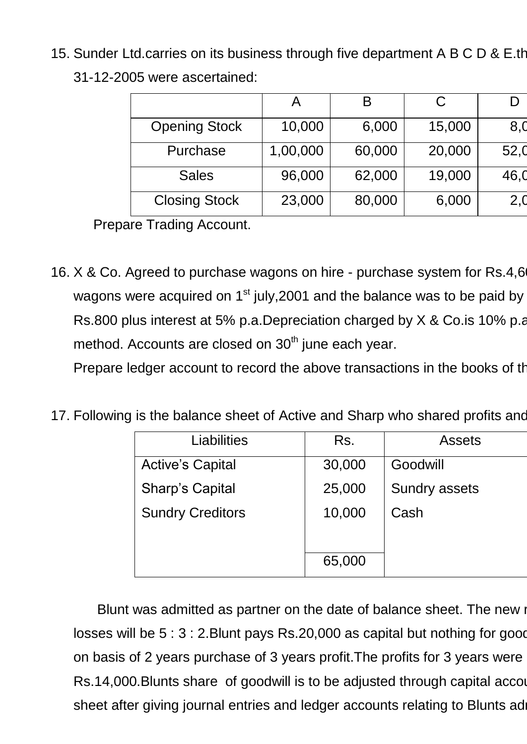15. Sunder Ltd.carries on its business through five department A B C D & E.th 31-12-2005 were ascertained:

|                      |          | B      | С      |      |
|----------------------|----------|--------|--------|------|
| <b>Opening Stock</b> | 10,000   | 6,000  | 15,000 | 8,0  |
| Purchase             | 1,00,000 | 60,000 | 20,000 | 52,0 |
| <b>Sales</b>         | 96,000   | 62,000 | 19,000 | 46,0 |
| <b>Closing Stock</b> | 23,000   | 80,000 | 6,000  | 2,0  |

Prepare Trading Account.

16. X & Co. Agreed to purchase wagons on hire - purchase system for Rs.4,6 wagons were acquired on  $1<sup>st</sup>$  july, 2001 and the balance was to be paid by Rs.800 plus interest at 5% p.a.Depreciation charged by X & Co.is 10% p.a. method. Accounts are closed on  $30<sup>th</sup>$  june each year.

Prepare ledger account to record the above transactions in the books of the

17. Following is the balance sheet of Active and Sharp who shared profits and

| Liabilities             | Rs.    | <b>Assets</b>        |
|-------------------------|--------|----------------------|
| <b>Active's Capital</b> | 30,000 | Goodwill             |
| Sharp's Capital         | 25,000 | <b>Sundry assets</b> |
| <b>Sundry Creditors</b> | 10,000 | Cash                 |
|                         |        |                      |
|                         | 65,000 |                      |

Blunt was admitted as partner on the date of balance sheet. The new i losses will be  $5:3:2$ . Blunt pays Rs. 20,000 as capital but nothing for good on basis of 2 years purchase of 3 years profit. The profits for 3 years were Rs.14,000.Blunts share of goodwill is to be adjusted through capital accounts. Res.14,000.Blunts share of goodwill is to be adjusted through capital accounts. sheet after giving journal entries and ledger accounts relating to Blunts ad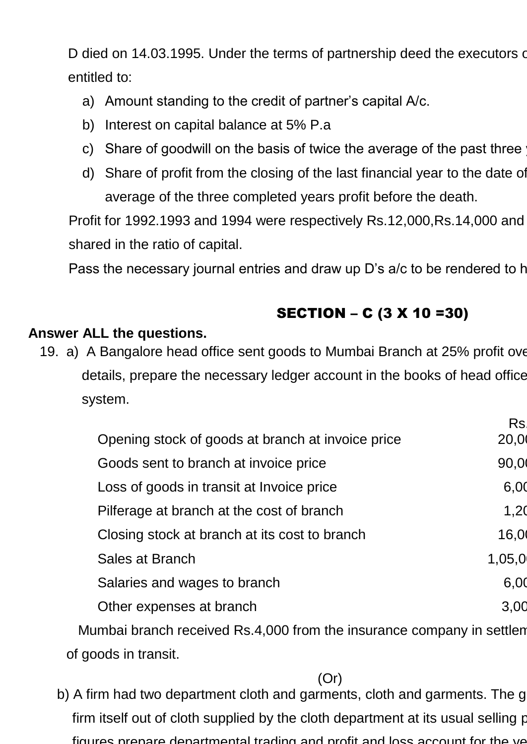D died on 14.03.1995. Under the terms of partnership deed the executors of entitled to:

- a) Amount standing to the credit of partner's capital A/c.
- b) Interest on capital balance at 5% P.a
- c) Share of goodwill on the basis of twice the average of the past three
- d) Share of profit from the closing of the last financial year to the date of average of the three completed years profit before the death.

Profit for 1992.1993 and 1994 were respectively Rs.12,000,Rs.14,000 and shared in the ratio of capital.

Pass the necessary journal entries and draw up D's a/c to be rendered to h

# SECTION – C (3 X 10 =30)

#### **Answer ALL the questions.**

19. a) A Bangalore head office sent goods to Mumbai Branch at 25% profit over details, prepare the necessary ledger account in the books of head office system.

|                                                                       | <b>Rs</b> |
|-----------------------------------------------------------------------|-----------|
| Opening stock of goods at branch at invoice price                     | 20,0      |
| Goods sent to branch at invoice price                                 | 90,0      |
| Loss of goods in transit at Invoice price                             | 6,00      |
| Pilferage at branch at the cost of branch                             | 1,20      |
| Closing stock at branch at its cost to branch                         | 16,0      |
| Sales at Branch                                                       | 1,05,0    |
| Salaries and wages to branch                                          | 6,00      |
| Other expenses at branch                                              | 3,00      |
| Mumbai branch received Rs.4,000 from the insurance company in settlem |           |
|                                                                       |           |

of goods in transit.

(Or)

b) A firm had two department cloth and garments, cloth and garments. The g firm itself out of cloth supplied by the cloth department at its usual selling price. Fig. 2. figures prepare departmental trading and profit and loss account for the ye